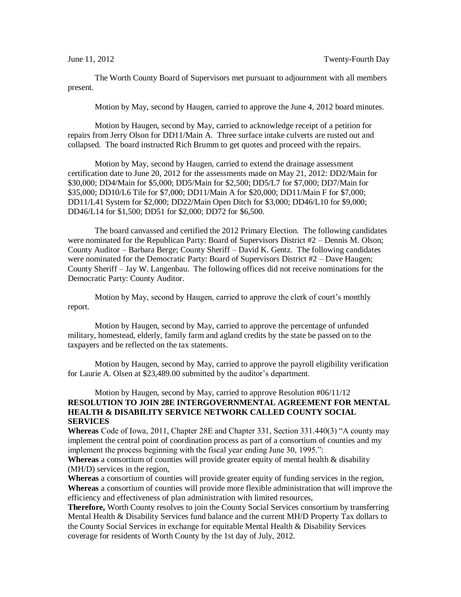The Worth County Board of Supervisors met pursuant to adjournment with all members present.

Motion by May, second by Haugen, carried to approve the June 4, 2012 board minutes.

Motion by Haugen, second by May, carried to acknowledge receipt of a petition for repairs from Jerry Olson for DD11/Main A. Three surface intake culverts are rusted out and collapsed. The board instructed Rich Brumm to get quotes and proceed with the repairs.

Motion by May, second by Haugen, carried to extend the drainage assessment certification date to June 20, 2012 for the assessments made on May 21, 2012: DD2/Main for \$30,000; DD4/Main for \$5,000; DD5/Main for \$2,500; DD5/L7 for \$7,000; DD7/Main for \$35,000; DD10/L6 Tile for \$7,000; DD11/Main A for \$20,000; DD11/Main F for \$7,000; DD11/L41 System for \$2,000; DD22/Main Open Ditch for \$3,000; DD46/L10 for \$9,000; DD46/L14 for \$1,500; DD51 for \$2,000; DD72 for \$6,500.

The board canvassed and certified the 2012 Primary Election. The following candidates were nominated for the Republican Party: Board of Supervisors District #2 – Dennis M. Olson; County Auditor – Barbara Berge; County Sheriff – David K. Gentz. The following candidates were nominated for the Democratic Party: Board of Supervisors District #2 – Dave Haugen; County Sheriff – Jay W. Langenbau. The following offices did not receive nominations for the Democratic Party: County Auditor.

Motion by May, second by Haugen, carried to approve the clerk of court's monthly report.

Motion by Haugen, second by May, carried to approve the percentage of unfunded military, homestead, elderly, family farm and agland credits by the state be passed on to the taxpayers and be reflected on the tax statements.

Motion by Haugen, second by May, carried to approve the payroll eligibility verification for Laurie A. Olsen at \$23,489.00 submitted by the auditor's department.

## Motion by Haugen, second by May, carried to approve Resolution #06/11/12 **RESOLUTION TO JOIN 28E INTERGOVERNMENTAL AGREEMENT FOR MENTAL HEALTH & DISABILITY SERVICE NETWORK CALLED COUNTY SOCIAL SERVICES**

**Whereas** Code of Iowa, 2011, Chapter 28E and Chapter 331, Section 331.440(3) "A county may implement the central point of coordination process as part of a consortium of counties and my implement the process beginning with the fiscal year ending June 30, 1995.":

**Whereas** a consortium of counties will provide greater equity of mental health & disability (MH/D) services in the region,

**Whereas** a consortium of counties will provide greater equity of funding services in the region, **Whereas** a consortium of counties will provide more flexible administration that will improve the efficiency and effectiveness of plan administration with limited resources,

**Therefore,** Worth County resolves to join the County Social Services consortium by transferring Mental Health & Disability Services fund balance and the current MH/D Property Tax dollars to the County Social Services in exchange for equitable Mental Health & Disability Services coverage for residents of Worth County by the 1st day of July, 2012.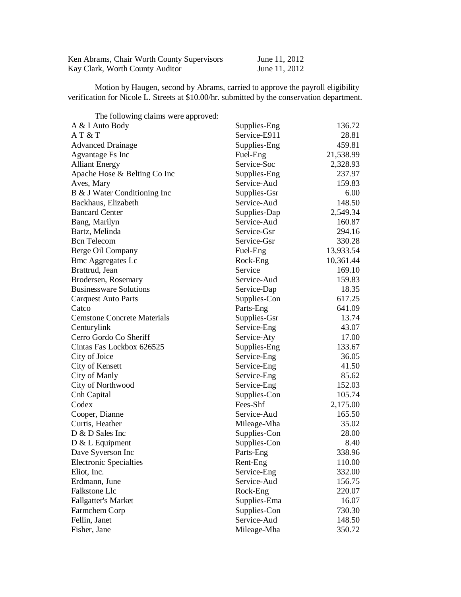| Ken Abrams, Chair Worth County Supervisors | June 11, 2012 |
|--------------------------------------------|---------------|
| Kay Clark, Worth County Auditor            | June 11, 2012 |

Motion by Haugen, second by Abrams, carried to approve the payroll eligibility verification for Nicole L. Streets at \$10.00/hr. submitted by the conservation department.

| The following claims were approved: |              |           |
|-------------------------------------|--------------|-----------|
| A & I Auto Body                     | Supplies-Eng | 136.72    |
| AT & T                              | Service-E911 | 28.81     |
| <b>Advanced Drainage</b>            | Supplies-Eng | 459.81    |
| Agvantage Fs Inc                    | Fuel-Eng     | 21,538.99 |
| <b>Alliant Energy</b>               | Service-Soc  | 2,328.93  |
| Apache Hose & Belting Co Inc        | Supplies-Eng | 237.97    |
| Aves, Mary                          | Service-Aud  | 159.83    |
| B & J Water Conditioning Inc        | Supplies-Gsr | 6.00      |
| Backhaus, Elizabeth                 | Service-Aud  | 148.50    |
| <b>Bancard Center</b>               | Supplies-Dap | 2,549.34  |
| Bang, Marilyn                       | Service-Aud  | 160.87    |
| Bartz, Melinda                      | Service-Gsr  | 294.16    |
| <b>Bcn</b> Telecom                  | Service-Gsr  | 330.28    |
| Berge Oil Company                   | Fuel-Eng     | 13,933.54 |
| <b>Bmc Aggregates Lc</b>            | Rock-Eng     | 10,361.44 |
| Brattrud, Jean                      | Service      | 169.10    |
| Brodersen, Rosemary                 | Service-Aud  | 159.83    |
| <b>Businessware Solutions</b>       | Service-Dap  | 18.35     |
| <b>Carquest Auto Parts</b>          | Supplies-Con | 617.25    |
| Catco                               | Parts-Eng    | 641.09    |
| <b>Cemstone Concrete Materials</b>  | Supplies-Gsr | 13.74     |
| Centurylink                         | Service-Eng  | 43.07     |
| Cerro Gordo Co Sheriff              | Service-Aty  | 17.00     |
| Cintas Fas Lockbox 626525           | Supplies-Eng | 133.67    |
| City of Joice                       | Service-Eng  | 36.05     |
| City of Kensett                     | Service-Eng  | 41.50     |
| City of Manly                       | Service-Eng  | 85.62     |
| City of Northwood                   | Service-Eng  | 152.03    |
| Cnh Capital                         | Supplies-Con | 105.74    |
| Codex                               | Fees-Shf     | 2,175.00  |
| Cooper, Dianne                      | Service-Aud  | 165.50    |
| Curtis, Heather                     | Mileage-Mha  | 35.02     |
| D & D Sales Inc                     | Supplies-Con | 28.00     |
| D & L Equipment                     | Supplies-Con | 8.40      |
| Dave Syverson Inc                   | Parts-Eng    | 338.96    |
| <b>Electronic Specialties</b>       | Rent-Eng     | 110.00    |
| Eliot, Inc.                         | Service-Eng  | 332.00    |
| Erdmann, June                       | Service-Aud  | 156.75    |
| Falkstone Llc                       | Rock-Eng     | 220.07    |
| <b>Fallgatter's Market</b>          | Supplies-Ema | 16.07     |
| Farmchem Corp                       | Supplies-Con | 730.30    |
| Fellin, Janet                       | Service-Aud  | 148.50    |
| Fisher, Jane                        | Mileage-Mha  | 350.72    |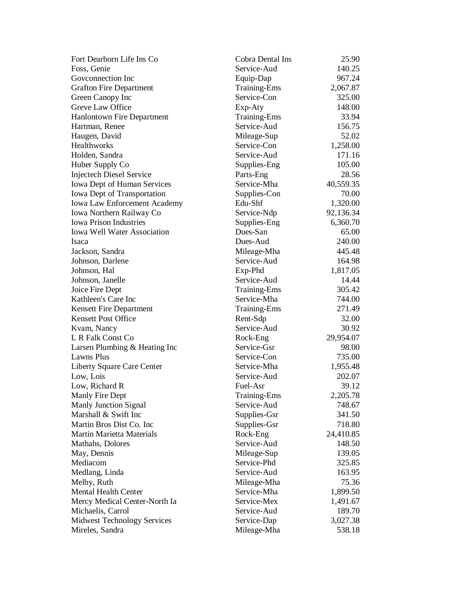| Fort Dearborn Life Ins Co           | Cobra Dental Ins           | 25.90     |
|-------------------------------------|----------------------------|-----------|
| Foss, Genie                         | Service-Aud                | 140.25    |
| Goveonnection Inc                   | Equip-Dap                  | 967.24    |
| <b>Grafton Fire Department</b>      | Training-Ems               | 2,067.87  |
| Green Canopy Inc                    | Service-Con                | 325.00    |
| Greve Law Office                    | Exp-Aty                    | 148.00    |
| <b>Hanlontown Fire Department</b>   | <b>Training-Ems</b>        | 33.94     |
| Hartman, Renee                      | Service-Aud                | 156.75    |
| Haugen, David                       | Mileage-Sup                | 52.02     |
| <b>Healthworks</b>                  | Service-Con                | 1,258.00  |
| Holden, Sandra                      | Service-Aud                | 171.16    |
| Huber Supply Co                     | Supplies-Eng               | 105.00    |
| <b>Injectech Diesel Service</b>     | Parts-Eng                  | 28.56     |
| Iowa Dept of Human Services         | Service-Mha                | 40,559.35 |
| Iowa Dept of Transportation         | Supplies-Con               | 70.00     |
| <b>Iowa Law Enforcement Academy</b> | Edu-Shf                    | 1,320.00  |
| Iowa Northern Railway Co            | Service-Ndp                | 92,136.34 |
| <b>Iowa Prison Industries</b>       | Supplies-Eng               | 6,360.70  |
| <b>Iowa Well Water Association</b>  | Dues-San                   | 65.00     |
| Isaca                               | Dues-Aud                   | 240.00    |
| Jackson, Sandra                     |                            | 445.48    |
|                                     | Mileage-Mha<br>Service-Aud | 164.98    |
| Johnson, Darlene                    |                            |           |
| Johnson, Hal                        | Exp-Phd                    | 1,817.05  |
| Johnson, Janelle                    | Service-Aud                | 14.44     |
| Joice Fire Dept                     | <b>Training-Ems</b>        | 305.42    |
| Kathleen's Care Inc                 | Service-Mha                | 744.00    |
| Kensett Fire Department             | <b>Training-Ems</b>        | 271.49    |
| <b>Kensett Post Office</b>          | Rent-Sdp                   | 32.00     |
| Kvam, Nancy                         | Service-Aud                | 30.92     |
| L R Falk Const Co                   | Rock-Eng                   | 29,954.07 |
| Larsen Plumbing & Heating Inc       | Service-Gsr                | 98.00     |
| Lawns Plus                          | Service-Con                | 735.00    |
| <b>Liberty Square Care Center</b>   | Service-Mha                | 1,955.48  |
| Low, Lois                           | Service-Aud                | 202.07    |
| Low, Richard R                      | Fuel-Asr                   | 39.12     |
| Manly Fire Dept                     | <b>Training-Ems</b>        | 2,205.78  |
| Manly Junction Signal               | Service-Aud                | 748.67    |
| Marshall & Swift Inc                | Supplies-Gsr               | 341.50    |
| Martin Bros Dist Co. Inc            | Supplies-Gsr               | 718.80    |
| <b>Martin Marietta Materials</b>    | Rock-Eng                   | 24,410.85 |
| Mathahs, Dolores                    | Service-Aud                | 148.50    |
| May, Dennis                         | Mileage-Sup                | 139.05    |
| Mediacom                            | Service-Phd                | 325.85    |
| Medlang, Linda                      | Service-Aud                | 163.95    |
| Melby, Ruth                         | Mileage-Mha                | 75.36     |
| <b>Mental Health Center</b>         | Service-Mha                | 1,899.50  |
| Mercy Medical Center-North Ia       | Service-Mex                | 1,491.67  |
| Michaelis, Carrol                   | Service-Aud                | 189.70    |
| <b>Midwest Technology Services</b>  | Service-Dap                | 3,027.38  |
| Mireles, Sandra                     | Mileage-Mha                | 538.18    |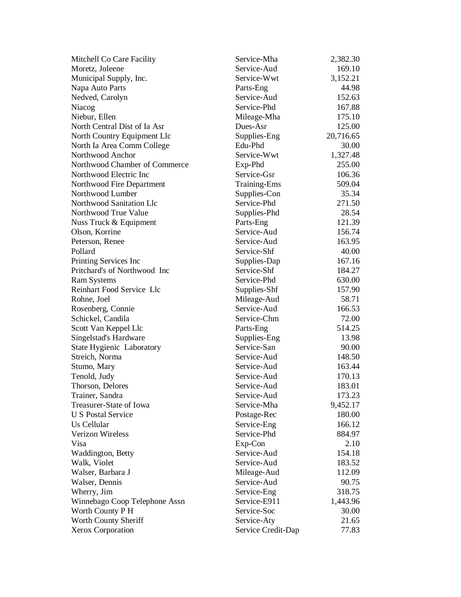| Mitchell Co Care Facility     | Service-Mha         | 2,382.30  |
|-------------------------------|---------------------|-----------|
| Moretz, Joleene               | Service-Aud         | 169.10    |
| Municipal Supply, Inc.        | Service-Wwt         | 3,152.21  |
| Napa Auto Parts               | Parts-Eng           | 44.98     |
| Nedved, Carolyn               | Service-Aud         | 152.63    |
| Niacog                        | Service-Phd         | 167.88    |
| Niebur, Ellen                 | Mileage-Mha         | 175.10    |
| North Central Dist of Ia Asr  | Dues-Asr            | 125.00    |
| North Country Equipment Llc   | Supplies-Eng        | 20,716.65 |
| North Ia Area Comm College    | Edu-Phd             | 30.00     |
| Northwood Anchor              | Service-Wwt         | 1,327.48  |
| Northwood Chamber of Commerce | Exp-Phd             | 255.00    |
| Northwood Electric Inc        | Service-Gsr         | 106.36    |
| Northwood Fire Department     | <b>Training-Ems</b> | 509.04    |
| Northwood Lumber              | Supplies-Con        | 35.34     |
| Northwood Sanitation Llc      | Service-Phd         | 271.50    |
| Northwood True Value          | Supplies-Phd        | 28.54     |
| Nuss Truck & Equipment        | Parts-Eng           | 121.39    |
| Olson, Korrine                | Service-Aud         | 156.74    |
| Peterson, Renee               | Service-Aud         | 163.95    |
| Pollard                       | Service-Shf         | 40.00     |
| Printing Services Inc         | Supplies-Dap        | 167.16    |
| Pritchard's of Northwood Inc  | Service-Shf         | 184.27    |
| <b>Ram Systems</b>            | Service-Phd         | 630.00    |
| Reinhart Food Service Llc     | Supplies-Shf        | 157.90    |
| Rohne, Joel                   | Mileage-Aud         | 58.71     |
| Rosenberg, Connie             | Service-Aud         | 166.53    |
| Schickel, Candila             | Service-Chm         | 72.00     |
| Scott Van Keppel Llc          | Parts-Eng           | 514.25    |
| Singelstad's Hardware         | Supplies-Eng        | 13.98     |
| State Hygienic Laboratory     | Service-San         | 90.00     |
| Streich, Norma                | Service-Aud         | 148.50    |
| Stumo, Mary                   | Service-Aud         | 163.44    |
| Tenold, Judy                  | Service-Aud         | 170.13    |
| Thorson, Delores              | Service-Aud         | 183.01    |
| Trainer, Sandra               | Service-Aud         | 173.23    |
| Treasurer-State of Iowa       | Service-Mha         | 9,452.17  |
| <b>U S Postal Service</b>     | Postage-Rec         | 180.00    |
| Us Cellular                   | Service-Eng         | 166.12    |
| <b>Verizon Wireless</b>       | Service-Phd         | 884.97    |
| Visa                          | Exp-Con             | 2.10      |
| Waddington, Betty             | Service-Aud         | 154.18    |
| Walk, Violet                  | Service-Aud         | 183.52    |
| Walser, Barbara J             | Mileage-Aud         | 112.09    |
| Walser, Dennis                | Service-Aud         | 90.75     |
| Wherry, Jim                   | Service-Eng         | 318.75    |
| Winnebago Coop Telephone Assn | Service-E911        | 1,443.96  |
| Worth County P H              | Service-Soc         | 30.00     |
| Worth County Sheriff          | Service-Aty         | 21.65     |
| <b>Xerox Corporation</b>      | Service Credit-Dap  | 77.83     |
|                               |                     |           |